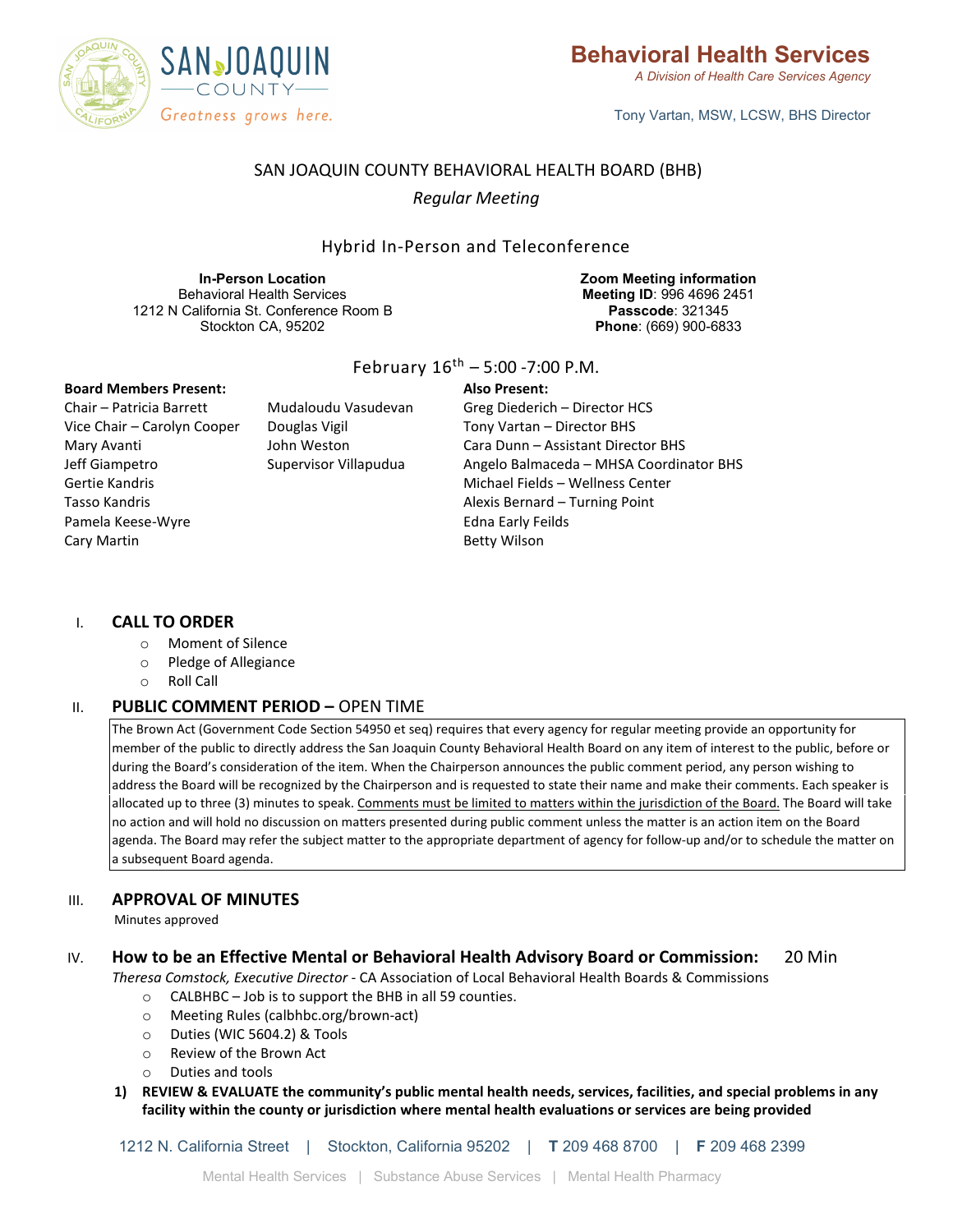

Tony Vartan, MSW, LCSW, BHS Director

## SAN JOAQUIN COUNTY BEHAVIORAL HEALTH BOARD (BHB)

## *Regular Meeting*

### Hybrid In-Person and Teleconference

**In-Person Location** Behavioral Health Services 1212 N California St. Conference Room B Stockton CA, 95202

**Zoom Meeting information Meeting ID**: 996 4696 2451 **Passcode**: 321345 **Phone**: (669) 900-6833

#### **Board Members Present:**

Chair – Patricia Barrett Vice Chair – Carolyn Cooper Mary Avanti Jeff Giampetro Gertie Kandris Tasso Kandris Pamela Keese-Wyre Cary Martin

Mudaloudu Vasudevan Douglas Vigil John Weston Supervisor Villapudua

#### February  $16^{th}$  – 5:00 -7:00 P.M.

#### **Also Present:**

Greg Diederich – Director HCS Tony Vartan – Director BHS Cara Dunn – Assistant Director BHS Angelo Balmaceda – MHSA Coordinator BHS Michael Fields – Wellness Center Alexis Bernard – Turning Point Edna Early Feilds Betty Wilson

#### I. **CALL TO ORDER**

- o Moment of Silence
- o Pledge of Allegiance
- o Roll Call

#### II. **PUBLIC COMMENT PERIOD –** OPEN TIME

The Brown Act (Government Code Section 54950 et seq) requires that every agency for regular meeting provide an opportunity for member of the public to directly address the San Joaquin County Behavioral Health Board on any item of interest to the public, before or during the Board's consideration of the item. When the Chairperson announces the public comment period, any person wishing to address the Board will be recognized by the Chairperson and is requested to state their name and make their comments. Each speaker is allocated up to three (3) minutes to speak. Comments must be limited to matters within the jurisdiction of the Board. The Board will take no action and will hold no discussion on matters presented during public comment unless the matter is an action item on the Board agenda. The Board may refer the subject matter to the appropriate department of agency for follow-up and/or to schedule the matter on a subsequent Board agenda.

#### III. **APPROVAL OF MINUTES**

Minutes approved

#### IV. **How to be an Effective Mental or Behavioral Health Advisory Board or Commission:** 20 Min

*Theresa Comstock, Executive Director* - CA Association of Local Behavioral Health Boards & Commissions

- o CALBHBC Job is to support the BHB in all 59 counties.
- o Meeting Rules (calbhbc.org/brown-act)
- o Duties (WIC 5604.2) & Tools
- o Review of the Brown Act
- o Duties and tools
- **1) REVIEW & EVALUATE the community's public mental health needs, services, facilities, and special problems in any facility within the county or jurisdiction where mental health evaluations or services are being provided**

1212 N. California Street | Stockton, California 95202 | **T** 209 468 8700 | **F** 209 468 2399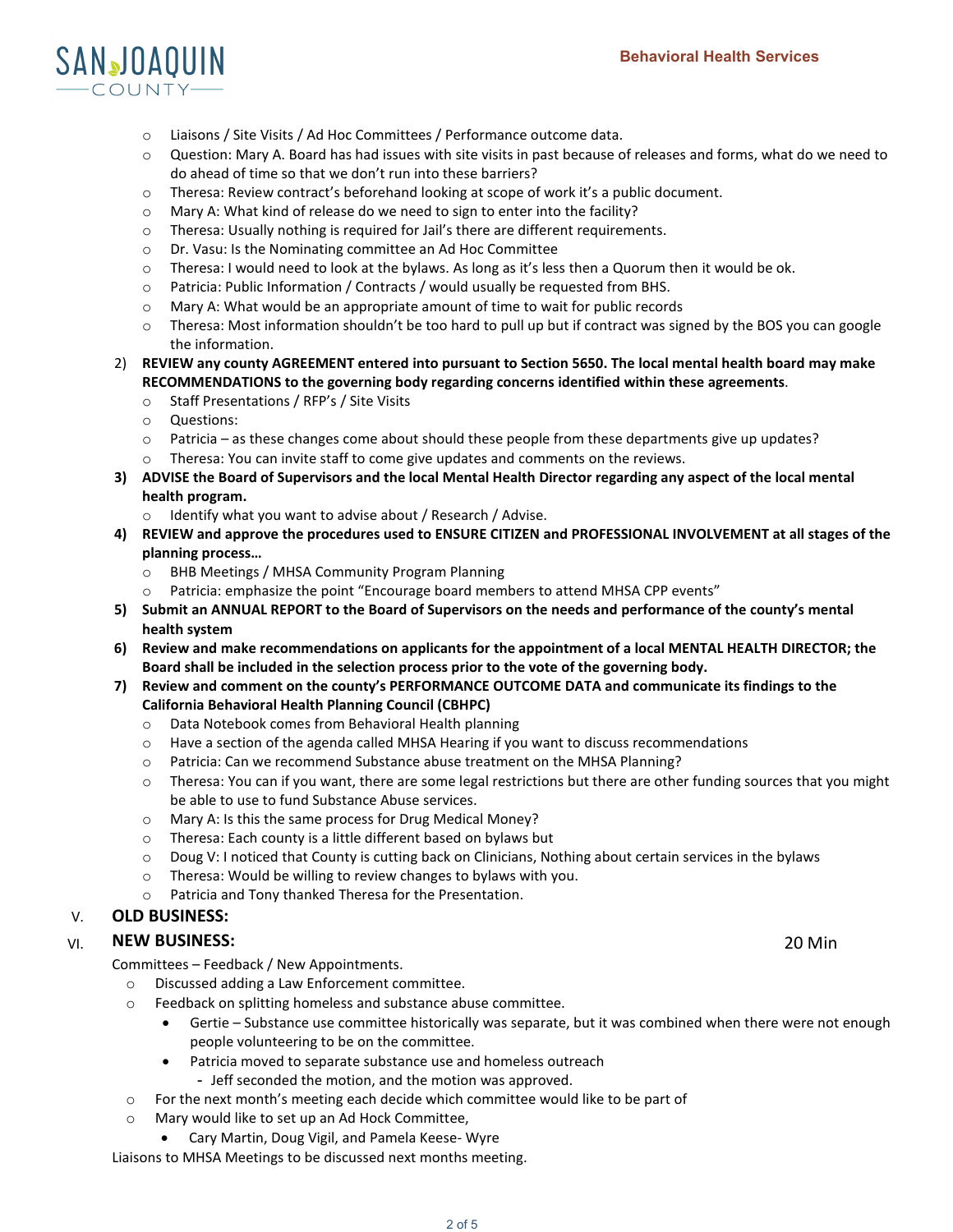# SANJOAQUIN COUNTY-

- o Liaisons / Site Visits / Ad Hoc Committees / Performance outcome data.
- o Question: Mary A. Board has had issues with site visits in past because of releases and forms, what do we need to do ahead of time so that we don't run into these barriers?
- o Theresa: Review contract's beforehand looking at scope of work it's a public document.
- o Mary A: What kind of release do we need to sign to enter into the facility?
- o Theresa: Usually nothing is required for Jail's there are different requirements.
- o Dr. Vasu: Is the Nominating committee an Ad Hoc Committee
- $\circ$  Theresa: I would need to look at the bylaws. As long as it's less then a Quorum then it would be ok.
- $\circ$  Patricia: Public Information / Contracts / would usually be requested from BHS.
- o Mary A: What would be an appropriate amount of time to wait for public records
- o Theresa: Most information shouldn't be too hard to pull up but if contract was signed by the BOS you can google the information.
- 2) **REVIEW any county AGREEMENT entered into pursuant to Section 5650. The local mental health board may make RECOMMENDATIONS to the governing body regarding concerns identified within these agreements**.
	- o Staff Presentations / RFP's / Site Visits
	- o Questions:
	- $\circ$  Patricia as these changes come about should these people from these departments give up updates?
	- $\circ$  Theresa: You can invite staff to come give updates and comments on the reviews.
- **3) ADVISE the Board of Supervisors and the local Mental Health Director regarding any aspect of the local mental health program.**
	- o Identify what you want to advise about / Research / Advise.
- **4) REVIEW and approve the procedures used to ENSURE CITIZEN and PROFESSIONAL INVOLVEMENT at all stages of the planning process…**
	- o BHB Meetings / MHSA Community Program Planning
	- Patricia: emphasize the point "Encourage board members to attend MHSA CPP events"
- **5) Submit an ANNUAL REPORT to the Board of Supervisors on the needs and performance of the county's mental health system**
- **6) Review and make recommendations on applicants for the appointment of a local MENTAL HEALTH DIRECTOR; the Board shall be included in the selection process prior to the vote of the governing body.**
- **7) Review and comment on the county's PERFORMANCE OUTCOME DATA and communicate its findings to the California Behavioral Health Planning Council (CBHPC)**
	- o Data Notebook comes from Behavioral Health planning
	- $\circ$  Have a section of the agenda called MHSA Hearing if you want to discuss recommendations
	- o Patricia: Can we recommend Substance abuse treatment on the MHSA Planning?
	- $\circ$  Theresa: You can if you want, there are some legal restrictions but there are other funding sources that you might be able to use to fund Substance Abuse services.
	- o Mary A: Is this the same process for Drug Medical Money?
	- o Theresa: Each county is a little different based on bylaws but
	- $\circ$  Doug V: I noticed that County is cutting back on Clinicians, Nothing about certain services in the bylaws
	- o Theresa: Would be willing to review changes to bylaws with you.
	- o Patricia and Tony thanked Theresa for the Presentation.

#### V. **OLD BUSINESS:**

## VI. 20 Min **NEW BUSINESS:**

Committees – Feedback / New Appointments.

- o Discussed adding a Law Enforcement committee.
- o Feedback on splitting homeless and substance abuse committee.
	- Gertie Substance use committee historically was separate, but it was combined when there were not enough people volunteering to be on the committee.
	- Patricia moved to separate substance use and homeless outreach
		- Jeff seconded the motion, and the motion was approved.
- $\circ$  For the next month's meeting each decide which committee would like to be part of
- o Mary would like to set up an Ad Hock Committee,
	- Cary Martin, Doug Vigil, and Pamela Keese- Wyre

Liaisons to MHSA Meetings to be discussed next months meeting.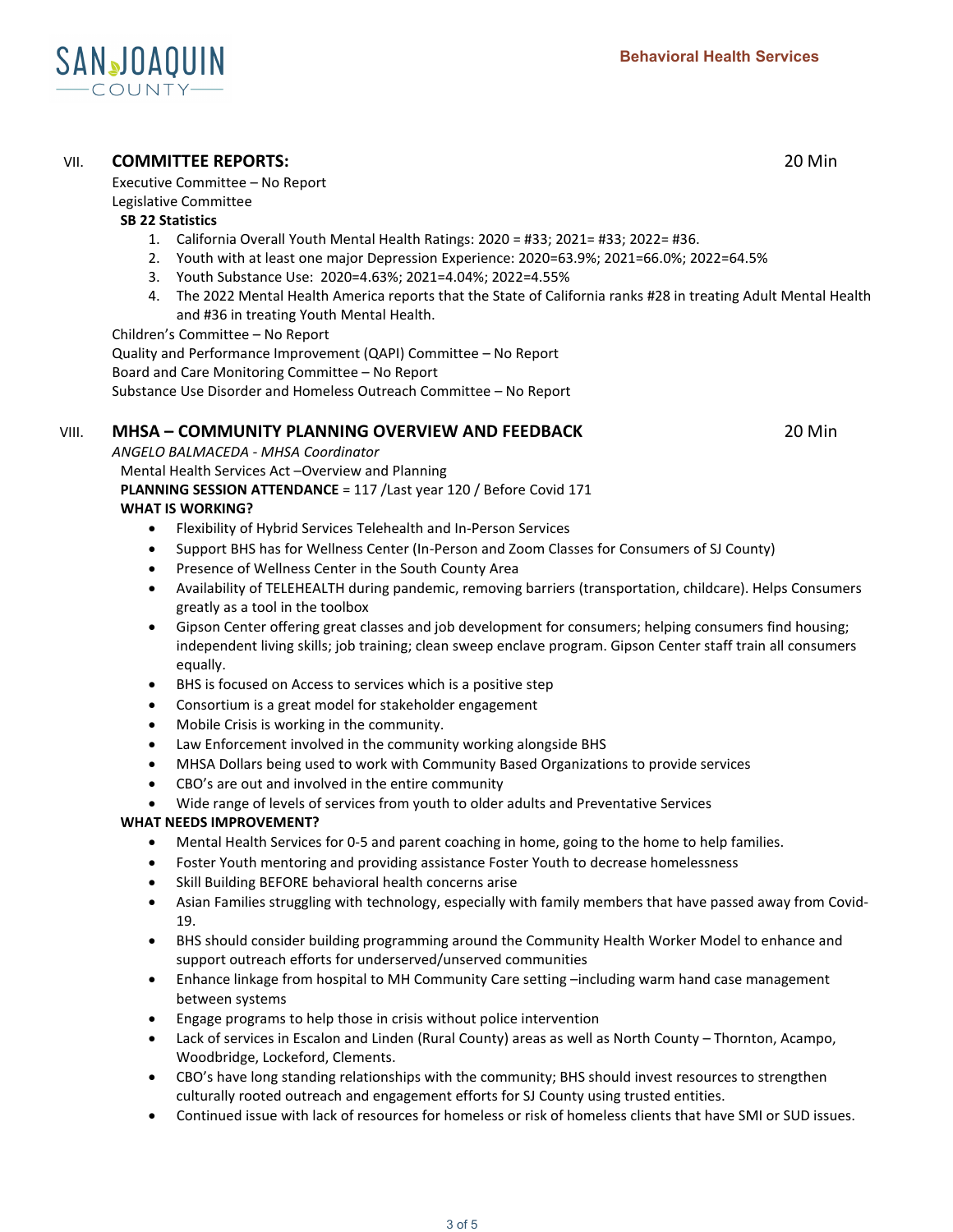

## VII. **COMMITTEE REPORTS:** 20 Min

Executive Committee – No Report

Legislative Committee

#### **SB 22 Statistics**

- 1. California Overall Youth Mental Health Ratings: 2020 = #33; 2021= #33; 2022= #36.
- 2. Youth with at least one major Depression Experience: 2020=63.9%; 2021=66.0%; 2022=64.5%
- 3. Youth Substance Use: 2020=4.63%; 2021=4.04%; 2022=4.55%
- 4. The 2022 Mental Health America reports that the State of California ranks #28 in treating Adult Mental Health and #36 in treating Youth Mental Health.

Children's Committee – No Report

Quality and Performance Improvement (QAPI) Committee – No Report Board and Care Monitoring Committee – No Report Substance Use Disorder and Homeless Outreach Committee – No Report

## VIII. **MHSA – COMMUNITY PLANNING OVERVIEW AND FEEDBACK** 20 Min

*ANGELO BALMACEDA - MHSA Coordinator*  Mental Health Services Act –Overview and Planning **PLANNING SESSION ATTENDANCE** = 117 /Last year 120 / Before Covid 171

## **WHAT IS WORKING?**

- Flexibility of Hybrid Services Telehealth and In-Person Services
- Support BHS has for Wellness Center (In-Person and Zoom Classes for Consumers of SJ County)
- Presence of Wellness Center in the South County Area
- Availability of TELEHEALTH during pandemic, removing barriers (transportation, childcare). Helps Consumers greatly as a tool in the toolbox
- Gipson Center offering great classes and job development for consumers; helping consumers find housing; independent living skills; job training; clean sweep enclave program. Gipson Center staff train all consumers equally.
- BHS is focused on Access to services which is a positive step
- Consortium is a great model for stakeholder engagement
- Mobile Crisis is working in the community.
- Law Enforcement involved in the community working alongside BHS
- MHSA Dollars being used to work with Community Based Organizations to provide services
- CBO's are out and involved in the entire community
- Wide range of levels of services from youth to older adults and Preventative Services

## **WHAT NEEDS IMPROVEMENT?**

- Mental Health Services for 0-5 and parent coaching in home, going to the home to help families.
- Foster Youth mentoring and providing assistance Foster Youth to decrease homelessness
- Skill Building BEFORE behavioral health concerns arise
- Asian Families struggling with technology, especially with family members that have passed away from Covid-19.
- BHS should consider building programming around the Community Health Worker Model to enhance and support outreach efforts for underserved/unserved communities
- Enhance linkage from hospital to MH Community Care setting –including warm hand case management between systems
- Engage programs to help those in crisis without police intervention
- Lack of services in Escalon and Linden (Rural County) areas as well as North County Thornton, Acampo, Woodbridge, Lockeford, Clements.
- CBO's have long standing relationships with the community; BHS should invest resources to strengthen culturally rooted outreach and engagement efforts for SJ County using trusted entities.
- Continued issue with lack of resources for homeless or risk of homeless clients that have SMI or SUD issues.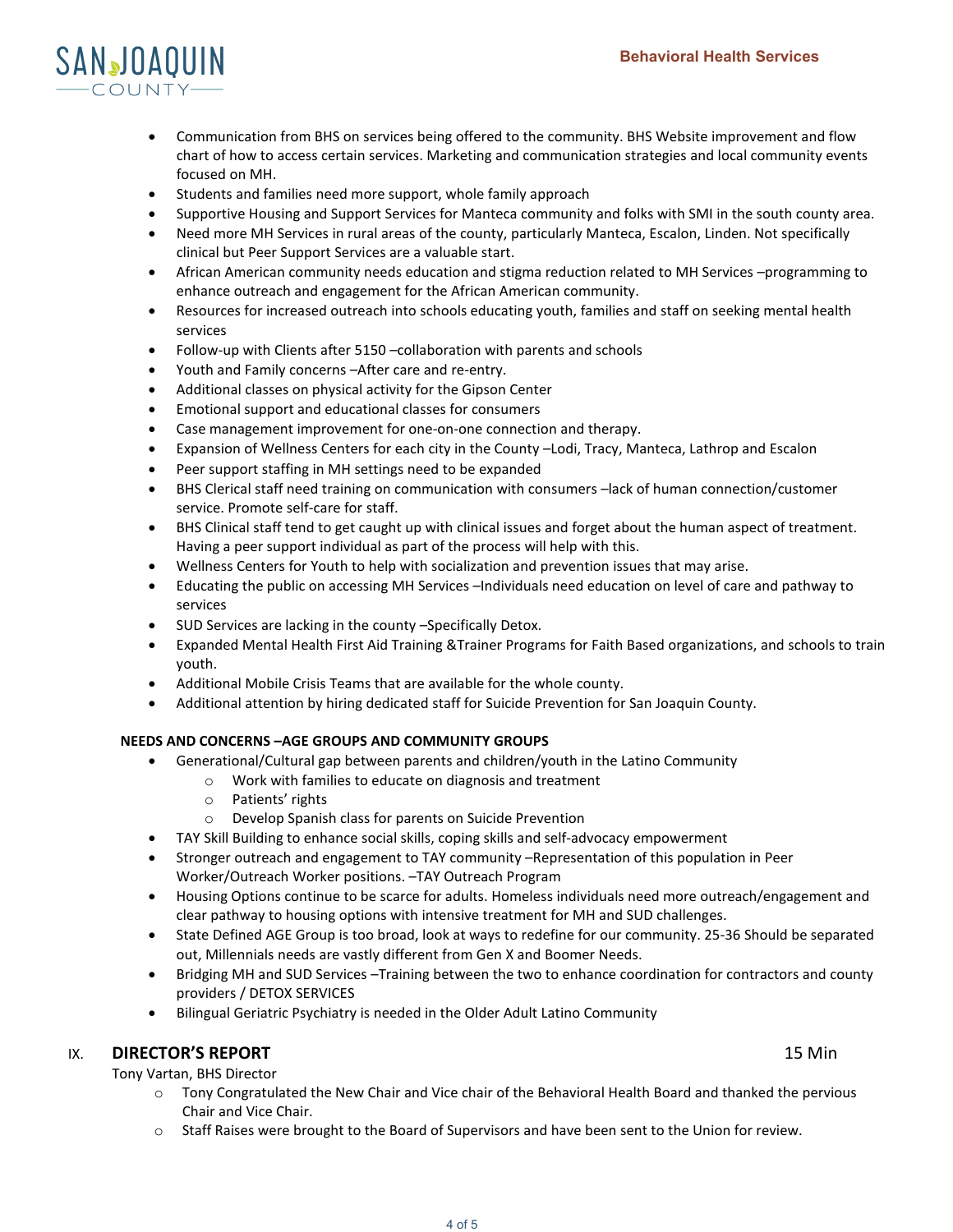

- Communication from BHS on services being offered to the community. BHS Website improvement and flow chart of how to access certain services. Marketing and communication strategies and local community events focused on MH.
- Students and families need more support, whole family approach
- Supportive Housing and Support Services for Manteca community and folks with SMI in the south county area.
- Need more MH Services in rural areas of the county, particularly Manteca, Escalon, Linden. Not specifically clinical but Peer Support Services are a valuable start.
- African American community needs education and stigma reduction related to MH Services –programming to enhance outreach and engagement for the African American community.
- Resources for increased outreach into schools educating youth, families and staff on seeking mental health services
- Follow-up with Clients after 5150 –collaboration with parents and schools
- Youth and Family concerns –After care and re-entry.
- Additional classes on physical activity for the Gipson Center
- Emotional support and educational classes for consumers
- Case management improvement for one-on-one connection and therapy.
- Expansion of Wellness Centers for each city in the County –Lodi, Tracy, Manteca, Lathrop and Escalon
- Peer support staffing in MH settings need to be expanded
- BHS Clerical staff need training on communication with consumers –lack of human connection/customer service. Promote self-care for staff.
- BHS Clinical staff tend to get caught up with clinical issues and forget about the human aspect of treatment. Having a peer support individual as part of the process will help with this.
- Wellness Centers for Youth to help with socialization and prevention issues that may arise.
- Educating the public on accessing MH Services –Individuals need education on level of care and pathway to services
- SUD Services are lacking in the county -Specifically Detox.
- Expanded Mental Health First Aid Training &Trainer Programs for Faith Based organizations, and schools to train youth.
- Additional Mobile Crisis Teams that are available for the whole county.
- Additional attention by hiring dedicated staff for Suicide Prevention for San Joaquin County.

#### **NEEDS AND CONCERNS –AGE GROUPS AND COMMUNITY GROUPS**

- Generational/Cultural gap between parents and children/youth in the Latino Community
	- o Work with families to educate on diagnosis and treatment
	- o Patients' rights
	- o Develop Spanish class for parents on Suicide Prevention
- TAY Skill Building to enhance social skills, coping skills and self-advocacy empowerment
- Stronger outreach and engagement to TAY community –Representation of this population in Peer Worker/Outreach Worker positions. –TAY Outreach Program
- Housing Options continue to be scarce for adults. Homeless individuals need more outreach/engagement and clear pathway to housing options with intensive treatment for MH and SUD challenges.
- State Defined AGE Group is too broad, look at ways to redefine for our community. 25-36 Should be separated out, Millennials needs are vastly different from Gen X and Boomer Needs.
- Bridging MH and SUD Services –Training between the two to enhance coordination for contractors and county providers / DETOX SERVICES
- Bilingual Geriatric Psychiatry is needed in the Older Adult Latino Community

## IX. **DIRECTOR'S REPORT 15 Min**

Tony Vartan, BHS Director

- o Tony Congratulated the New Chair and Vice chair of the Behavioral Health Board and thanked the pervious Chair and Vice Chair.
- o Staff Raises were brought to the Board of Supervisors and have been sent to the Union for review.